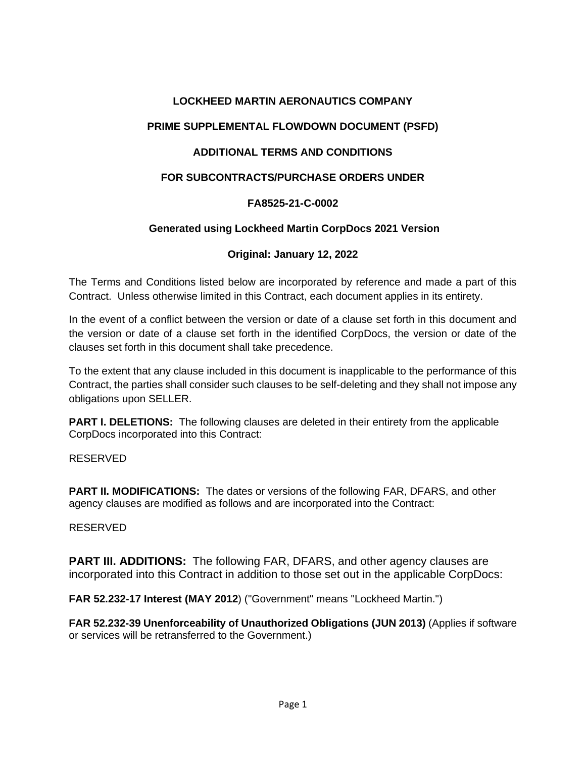## **LOCKHEED MARTIN AERONAUTICS COMPANY**

# **PRIME SUPPLEMENTAL FLOWDOWN DOCUMENT (PSFD)**

## **ADDITIONAL TERMS AND CONDITIONS**

### **FOR SUBCONTRACTS/PURCHASE ORDERS UNDER**

### **FA8525-21-C-0002**

### **Generated using Lockheed Martin CorpDocs 2021 Version**

### **Original: January 12, 2022**

The Terms and Conditions listed below are incorporated by reference and made a part of this Contract. Unless otherwise limited in this Contract, each document applies in its entirety.

In the event of a conflict between the version or date of a clause set forth in this document and the version or date of a clause set forth in the identified CorpDocs, the version or date of the clauses set forth in this document shall take precedence.

To the extent that any clause included in this document is inapplicable to the performance of this Contract, the parties shall consider such clauses to be self-deleting and they shall not impose any obligations upon SELLER.

**PART I. DELETIONS:** The following clauses are deleted in their entirety from the applicable CorpDocs incorporated into this Contract:

#### RESERVED

**PART II. MODIFICATIONS:** The dates or versions of the following FAR, DFARS, and other agency clauses are modified as follows and are incorporated into the Contract:

#### RESERVED

**PART III. ADDITIONS:** The following FAR, DFARS, and other agency clauses are incorporated into this Contract in addition to those set out in the applicable CorpDocs:

**FAR 52.232-17 Interest (MAY 2012**) ("Government" means "Lockheed Martin.")

**FAR 52.232-39 Unenforceability of Unauthorized Obligations (JUN 2013)** (Applies if software or services will be retransferred to the Government.)